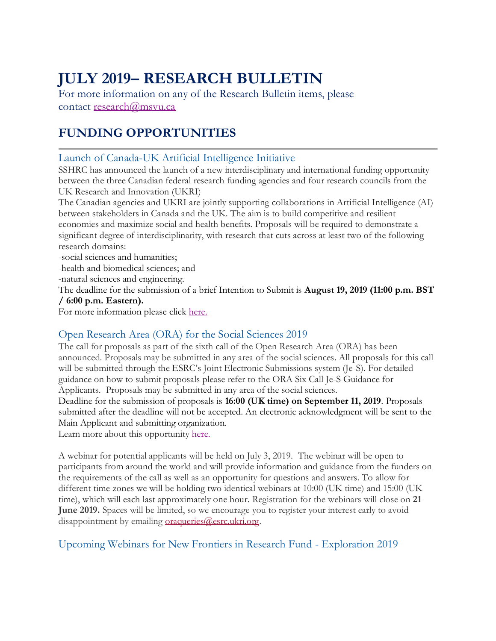# **JULY 2019– RESEARCH BULLETIN**

For more information on any of the Research Bulletin items, please contact [research@msvu.ca](mailto:research@msvu.ca)

# **FUNDING OPPORTUNITIES**

### Launch of Canada-UK Artificial Intelligence Initiative

SSHRC has announced the launch of a new interdisciplinary and international funding opportunity between the three Canadian federal research funding agencies and four research councils from the UK Research and Innovation (UKRI)

The Canadian agencies and UKRI are jointly supporting collaborations in Artificial Intelligence (AI) between stakeholders in Canada and the UK. The aim is to build competitive and resilient economies and maximize social and health benefits. Proposals will be required to demonstrate a significant degree of interdisciplinarity, with research that cuts across at least two of the following research domains:

-social sciences and humanities;

-health and biomedical sciences; and

-natural sciences and engineering.

The deadline for the submission of a brief Intention to Submit is **August 19, 2019 (11:00 p.m. BST / 6:00 p.m. Eastern).**

For more information please click [here.](http://www.sshrc-crsh.gc.ca/funding-financement/programs-programmes/canada-uk_ai/index-eng.aspx)

### Open Research Area (ORA) for the Social Sciences 2019

The call for proposals as part of the sixth call of the Open Research Area (ORA) has been announced. Proposals may be submitted in any area of the social sciences. All proposals for this call will be submitted through the ESRC's Joint Electronic Submissions system (Je-S). For detailed guidance on how to submit proposals please refer to the ORA Six Call Je-S Guidance for Applicants. Proposals may be submitted in any area of the social sciences.

Deadline for the submission of proposals is **16:00 (UK time) on September 11, 2019**. Proposals submitted after the deadline will not be accepted. An electronic acknowledgment will be sent to the Main Applicant and submitting organization.

Learn more about this opportunity [here.](https://esrc.ukri.org/funding/funding-opportunities/open-research-area-ora-for-the-social-sciences-2019/)

A webinar for potential applicants will be held on July 3, 2019. The webinar will be open to participants from around the world and will provide information and guidance from the funders on the requirements of the call as well as an opportunity for questions and answers. To allow for different time zones we will be holding two identical webinars at 10:00 (UK time) and 15:00 (UK time), which will each last approximately one hour. Registration for the webinars will close on **21 June 2019.** Spaces will be limited, so we encourage you to register your interest early to avoid disappointment by emailing [oraqueries@esrc.ukri.org.](mailto:oraqueries@esrc.ukri.org)

### Upcoming Webinars for New Frontiers in Research Fund - Exploration 2019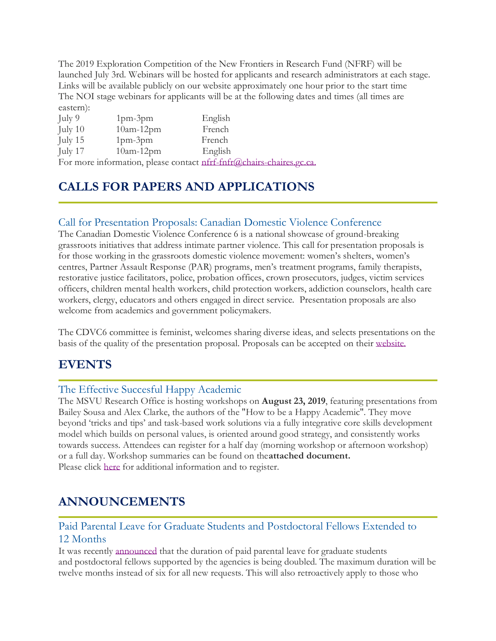The 2019 Exploration Competition of the New Frontiers in Research Fund (NFRF) will be launched July 3rd. Webinars will be hosted for applicants and research administrators at each stage. Links will be available publicly on our website approximately one hour prior to the start time The NOI stage webinars for applicants will be at the following dates and times (all times are eastern):

| July 9  | $1pm-3pm$   | English                                                              |  |
|---------|-------------|----------------------------------------------------------------------|--|
| July 10 | $10am-12pm$ | French                                                               |  |
| July 15 | $1pm-3pm$   | French                                                               |  |
| July 17 | $10am-12pm$ | English                                                              |  |
|         |             | For more information, please contact nfrf-fnfr@chairs-chaires.gc.ca. |  |

# **CALLS FOR PAPERS AND APPLICATIONS**

### Call for Presentation Proposals: Canadian Domestic Violence Conference

The Canadian Domestic Violence Conference 6 is a national showcase of ground-breaking grassroots initiatives that address intimate partner violence. This call for presentation proposals is for those working in the grassroots domestic violence movement: women's shelters, women's centres, Partner Assault Response (PAR) programs, men's treatment programs, family therapists, restorative justice facilitators, police, probation offices, crown prosecutors, judges, victim services officers, children mental health workers, child protection workers, addiction counselors, health care workers, clergy, educators and others engaged in direct service. Presentation proposals are also welcome from academics and government policymakers.

The CDVC6 committee is feminist, welcomes sharing diverse ideas, and selects presentations on the basis of the quality of the presentation proposal. Proposals can be accepted on their [website.](https://canadiandomesticviolenceconference.org/submissions)

### **EVENTS**

### The Effective Succesful Happy Academic

The MSVU Research Office is hosting workshops on **August 23, 2019**, featuring presentations from Bailey Sousa and Alex Clarke, the authors of the "How to be a Happy Academic". They move beyond 'tricks and tips' and task-based work solutions via a fully integrative core skills development model which builds on personal values, is oriented around good strategy, and consistently works towards success. Attendees can register for a half day (morning workshop or afternoon workshop) or a full day. Workshop summaries can be found on the**attached document.** Please click [here](https://www.eventbrite.ca/e/the-effective-successful-happy-academic-tickets-63869345933) for additional information and to register.

## **ANNOUNCEMENTS**

### Paid Parental Leave for Graduate Students and Postdoctoral Fellows Extended to 12 Months

It was recently [announced](http://www.nserc-crsng.gc.ca/NSERC-CRSNG/ProgramNewsDetails-NouvellesDesProgrammesDetails_eng.asp?ID=1074) that the duration of paid parental leave for graduate students and postdoctoral fellows supported by the agencies is being doubled. The maximum duration will be twelve months instead of six for all new requests. This will also retroactively apply to those who